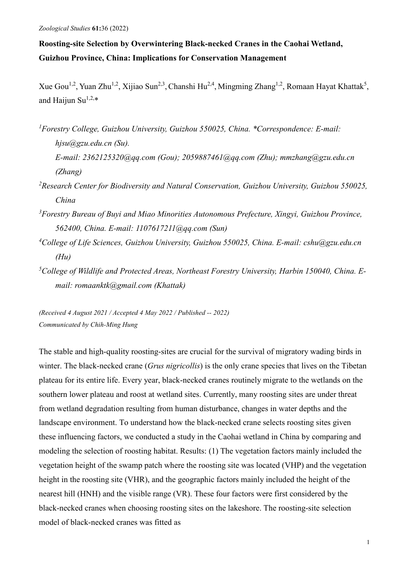# **Roosting-site Selection by Overwintering Black-necked Cranes in the Caohai Wetland, Guizhou Province, China: Implications for Conservation Management**

Xue Gou<sup>1,2</sup>, Yuan Zhu<sup>1,2</sup>, Xijiao Sun<sup>2,3</sup>, Chanshi Hu<sup>2,4</sup>, Mingming Zhang<sup>1,2</sup>, Romaan Hayat Khattak<sup>5</sup>, and Haijun Su<sup>1,2,\*</sup>

- *1 Forestry College, Guizhou University, Guizhou 550025, China. \*Correspondence: E-mail: hjsu@gzu.edu.cn (Su).*
	- *E-mail: 2362125320@qq.com (Gou); [2059887461@qq.com](mailto:2059887461@qq.com) (Zhu); mmzhang@gzu.edu.cn (Zhang)*
- *2 Research Center for Biodiversity and Natural Conservation, Guizhou University, Guizhou 550025, China*
- *3 Forestry Bureau of Buyi and Miao Minorities Autonomous Prefecture, Xingyi, Guizhou Province, 562400, China. E-mail: 1107617211@qq.com (Sun)*
- *4 College of Life Sciences, Guizhou University, Guizhou 550025, China. E-mail: cshu@gzu.edu.cn (Hu)*
- *5 College of Wildlife and Protected Areas, Northeast Forestry University, Harbin 150040, China. Email: romaanktk@gmail.com (Khattak)*

*(Received 4 August 2021 / Accepted 4 May 2022 / Published -- 2022) Communicated by Chih-Ming Hung*

The stable and high-quality roosting-sites are crucial for the survival of migratory wading birds in winter. The black-necked crane (*Grus nigricollis*) is the only crane species that lives on the Tibetan plateau for its entire life. Every year, black-necked cranes routinely migrate to the wetlands on the southern lower plateau and roost at wetland sites. Currently, many roosting sites are under threat from wetland degradation resulting from human disturbance, changes in water depths and the landscape environment. To understand how the black-necked crane selects roosting sites given these influencing factors, we conducted a study in the Caohai wetland in China by comparing and modeling the selection of roosting habitat. Results: (1) The vegetation factors mainly included the vegetation height of the swamp patch where the roosting site was located (VHP) and the vegetation height in the roosting site (VHR), and the geographic factors mainly included the height of the nearest hill (HNH) and the visible range (VR). These four factors were first considered by the black-necked cranes when choosing roosting sites on the lakeshore. The roosting-site selection model of black-necked cranes was fitted as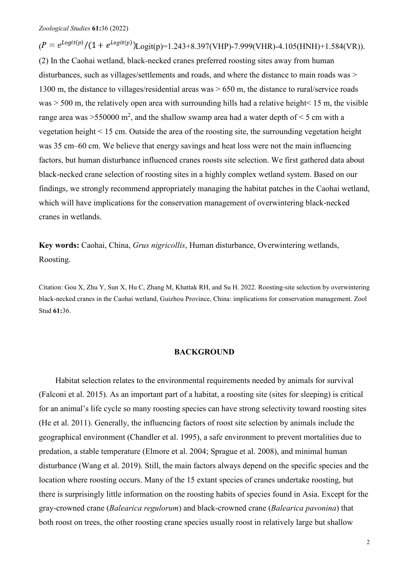$(P = e^{Logit(p)} / (1 + e^{Logit(p)})$ Logit(p)=1.243+8.397(VHP)-7.999(VHR)-4.105(HNH)+1.584(VR)). (2) In the Caohai wetland, black-necked cranes preferred roosting sites away from human disturbances, such as villages/settlements and roads, and where the distance to main roads was > 1300 m, the distance to villages/residential areas was > 650 m, the distance to rural/service roads was  $>$  500 m, the relatively open area with surrounding hills had a relative height < 15 m, the visible range area was >550000 m<sup>2</sup>, and the shallow swamp area had a water depth of < 5 cm with a vegetation height < 15 cm. Outside the area of the roosting site, the surrounding vegetation height was 35 cm–60 cm. We believe that energy savings and heat loss were not the main influencing factors, but human disturbance influenced cranes roosts site selection. We first gathered data about black-necked crane selection of roosting sites in a highly complex wetland system. Based on our findings, we strongly recommend appropriately managing the habitat patches in the Caohai wetland, which will have implications for the conservation management of overwintering black-necked cranes in wetlands.

**Key words:** Caohai, China, *Grus nigricollis*, Human disturbance, Overwintering wetlands, Roosting.

Citation: Gou X, Zhu Y, Sun X, Hu C, Zhang M, Khattak RH, and Su H. 2022. Roosting-site selection by overwintering black-necked cranes in the Caohai wetland, Guizhou Province, China: implications for conservation management. Zool Stud **61:**36.

## **BACKGROUND**

Habitat selection relates to the environmental requirements needed by animals for survival (Falconi et al. 2015). As an important part of a habitat, a roosting site (sites for sleeping) is critical for an animal's life cycle so many roosting species can have strong selectivity toward roosting sites (He et al. 2011). Generally, the influencing factors of roost site selection by animals include the geographical environment (Chandler et al. 1995), a safe environment to prevent mortalities due to predation, a stable temperature (Elmore et al. 2004; Sprague et al. 2008), and minimal human disturbance (Wang et al. 2019). Still, the main factors always depend on the specific species and the location where roosting occurs. Many of the 15 extant species of cranes undertake roosting, but there is surprisingly little information on the roosting habits of species found in Asia. Except for the gray-crowned crane (*Balearica regulorum*) and black-crowned crane (*Balearica pavonina*) that both roost on trees, the other roosting crane species usually roost in relatively large but shallow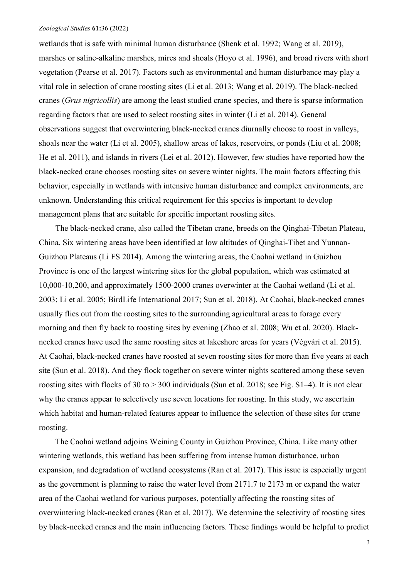wetlands that is safe with minimal human disturbance (Shenk et al. 1992; Wang et al. 2019), marshes or saline-alkaline marshes, mires and shoals (Hoyo et al. 1996), and broad rivers with short vegetation (Pearse et al. 2017). Factors such as environmental and human disturbance may play a vital role in selection of crane roosting sites (Li et al. 2013; Wang et al. 2019). The black-necked cranes (*Grus nigricollis*) are among the least studied crane species, and there is sparse information regarding factors that are used to select roosting sites in winter (Li et al. 2014). General observations suggest that overwintering black-necked cranes diurnally choose to roost in valleys, shoals near the water (Li et al. 2005), shallow areas of lakes, reservoirs, or ponds (Liu et al. 2008; He et al. 2011), and islands in rivers (Lei et al. 2012). However, few studies have reported how the black-necked crane chooses roosting sites on severe winter nights. The main factors affecting this behavior, especially in wetlands with intensive human disturbance and complex environments, are unknown. Understanding this critical requirement for this species is important to develop management plans that are suitable for specific important roosting sites.

The black-necked crane, also called the Tibetan crane, breeds on the Qinghai-Tibetan Plateau, China. Six wintering areas have been identified at low altitudes of Qinghai-Tibet and Yunnan-Guizhou Plateaus (Li FS 2014). Among the wintering areas, the Caohai wetland in Guizhou Province is one of the largest wintering sites for the global population, which was estimated at 10,000-10,200, and approximately 1500-2000 cranes overwinter at the Caohai wetland (Li et al. 2003; Li et al. 2005; BirdLife International 2017; Sun et al. 2018). At Caohai, black-necked cranes usually flies out from the roosting sites to the surrounding agricultural areas to forage every morning and then fly back to roosting sites by evening (Zhao et al. 2008; Wu et al. 2020). Blacknecked cranes have used the same roosting sites at lakeshore areas for years (Végvári et al. 2015). At Caohai, black-necked cranes have roosted at seven roosting sites for more than five years at each site (Sun et al. 2018). And they flock together on severe winter nights scattered among these seven roosting sites with flocks of 30 to  $>$  300 individuals (Sun et al. 2018; see Fig. S1–4). It is not clear why the cranes appear to selectively use seven locations for roosting. In this study, we ascertain which habitat and human-related features appear to influence the selection of these sites for crane roosting.

The Caohai wetland adjoins Weining County in Guizhou Province, China. Like many other wintering wetlands, this wetland has been suffering from intense human disturbance, urban expansion, and degradation of wetland ecosystems (Ran et al. 2017). This issue is especially urgent as the government is planning to raise the water level from 2171.7 to 2173 m or expand the water area of the Caohai wetland for various purposes, potentially affecting the roosting sites of overwintering black-necked cranes (Ran et al. 2017). We determine the selectivity of roosting sites by black-necked cranes and the main influencing factors. These findings would be helpful to predict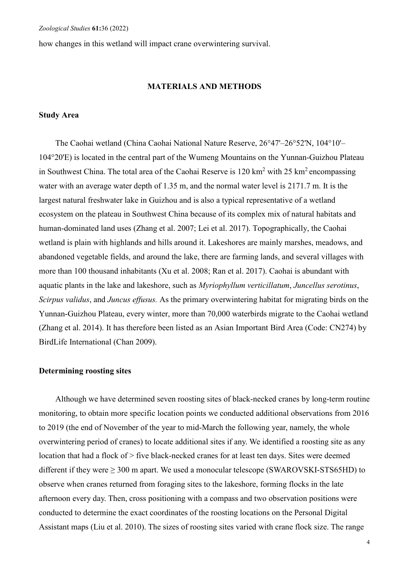how changes in this wetland will impact crane overwintering survival.

# **MATERIALS AND METHODS**

## **Study Area**

The Caohai wetland (China Caohai National Nature Reserve, 26°47'–26°52'N, 104°10'– 104°20'E) is located in the central part of the Wumeng Mountains on the Yunnan-Guizhou Plateau in Southwest China. The total area of the Caohai Reserve is  $120 \text{ km}^2$  with  $25 \text{ km}^2$  encompassing water with an average water depth of 1.35 m, and the normal water level is 2171.7 m. It is the largest natural freshwater lake in Guizhou and is also a typical representative of a wetland ecosystem on the plateau in Southwest China because of its complex mix of natural habitats and human-dominated land uses (Zhang et al. 2007; Lei et al. 2017). Topographically, the Caohai wetland is plain with highlands and hills around it. Lakeshores are mainly marshes, meadows, and abandoned vegetable fields, and around the lake, there are farming lands, and several villages with more than 100 thousand inhabitants (Xu et al. 2008; Ran et al. 2017). Caohai is abundant with aquatic plants in the lake and lakeshore, such as *Myriophyllum verticillatum*, *Juncellus serotinus*, *Scirpus validus*, and *Juncus effusus.* As the primary overwintering habitat for migrating birds on the Yunnan-Guizhou Plateau, every winter, more than 70,000 waterbirds migrate to the Caohai wetland (Zhang et al. 2014). It has therefore been listed as an Asian Important Bird Area (Code: CN274) by BirdLife International (Chan 2009).

#### **Determining roosting sites**

Although we have determined seven roosting sites of black-necked cranes by long-term routine monitoring, to obtain more specific location points we conducted additional observations from 2016 to 2019 (the end of November of the year to mid-March the following year, namely, the whole overwintering period of cranes) to locate additional sites if any. We identified a roosting site as any location that had a flock of > five black-necked cranes for at least ten days. Sites were deemed different if they were ≥ 300 m apart. We used a monocular telescope (SWAROVSKI-STS65HD) to observe when cranes returned from foraging sites to the lakeshore, forming flocks in the late afternoon every day. Then, cross positioning with a compass and two observation positions were conducted to determine the exact coordinates of the roosting locations on the Personal Digital Assistant maps (Liu et al. 2010). The sizes of roosting sites varied with crane flock size. The range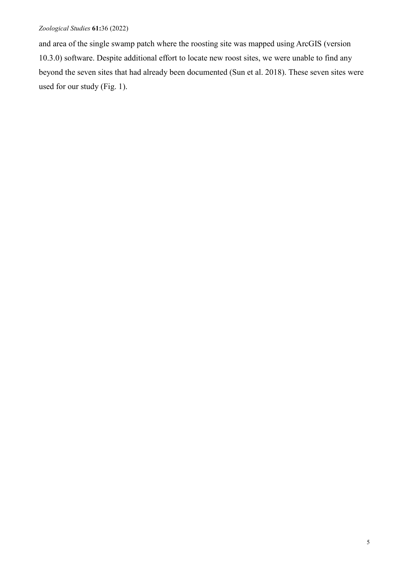and area of the single swamp patch where the roosting site was mapped using ArcGIS (version 10.3.0) software. Despite additional effort to locate new roost sites, we were unable to find any beyond the seven sites that had already been documented (Sun et al. 2018). These seven sites were used for our study (Fig. 1).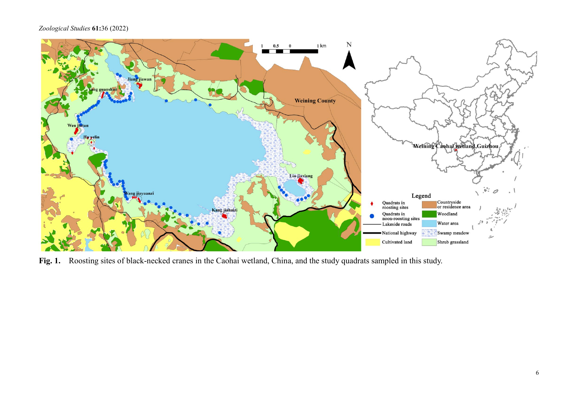

**Fig. 1.** Roosting sites of black-necked cranes in the Caohai wetland, China, and the study quadrats sampled in this study.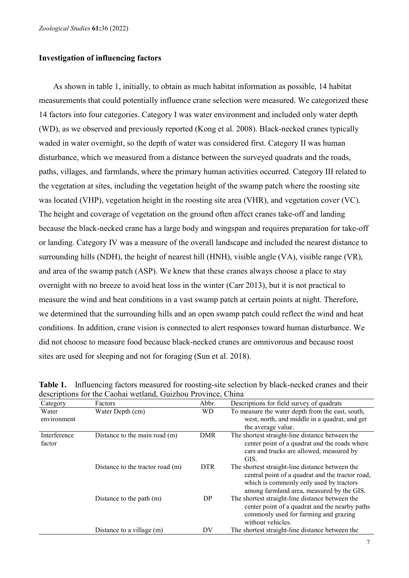## **Investigation of influencing factors**

As shown in table 1, initially, to obtain as much habitat information as possible, 14 habitat measurements that could potentially influence crane selection were measured. We categorized these 14 factors into four categories. Category I was water environment and included only water depth (WD), as we observed and previously reported (Kong et al. 2008). Black-necked cranes typically waded in water overnight, so the depth of water was considered first. Category II was human disturbance, which we measured from a distance between the surveyed quadrats and the roads, paths, villages, and farmlands, where the primary human activities occurred. Category III related to the vegetation at sites, including the vegetation height of the swamp patch where the roosting site was located (VHP), vegetation height in the roosting site area (VHR), and vegetation cover (VC). The height and coverage of vegetation on the ground often affect cranes take-off and landing because the black-necked crane has a large body and wingspan and requires preparation for take-off or landing. Category IV was a measure of the overall landscape and included the nearest distance to surrounding hills (NDH), the height of nearest hill (HNH), visible angle (VA), visible range (VR), and area of the swamp patch (ASP). We knew that these cranes always choose a place to stay overnight with no breeze to avoid heat loss in the winter (Carr 2013), but it is not practical to measure the wind and heat conditions in a vast swamp patch at certain points at night. Therefore, we determined that the surrounding hills and an open swamp patch could reflect the wind and heat conditions. In addition, crane vision is connected to alert responses toward human disturbance. We did not choose to measure food because black-necked cranes are omnivorous and because roost sites are used for sleeping and not for foraging (Sun et al. 2018).

| Category               | Factors                            | Abbr.      | Descriptions for field survey of quadrats                                                                                                                                                   |
|------------------------|------------------------------------|------------|---------------------------------------------------------------------------------------------------------------------------------------------------------------------------------------------|
| Water<br>environment   | Water Depth (cm)                   | <b>WD</b>  | To measure the water depth from the east, south,<br>west, north, and middle in a quadrat, and get<br>the average value.                                                                     |
| Interference<br>factor | Distance to the main road $(m)$    | <b>DMR</b> | The shortest straight-line distance between the<br>center point of a quadrat and the roads where<br>cars and trucks are allowed, measured by<br>GIS.                                        |
|                        | Distance to the tractor road $(m)$ | <b>DTR</b> | The shortest straight-line distance between the<br>central point of a quadrat and the tractor road,<br>which is commonly only used by tractors<br>among farmland area, measured by the GIS. |
|                        | Distance to the path $(m)$         | DP         | The shortest straight-line distance between the<br>center point of a quadrat and the nearby paths<br>commonly used for farming and grazing<br>without vehicles.                             |
|                        | Distance to a village (m)          | DV         | The shortest straight-line distance between the                                                                                                                                             |

**Table 1.** Influencing factors measured for roosting-site selection by black-necked cranes and their descriptions for the Caohai wetland, Guizhou Province, China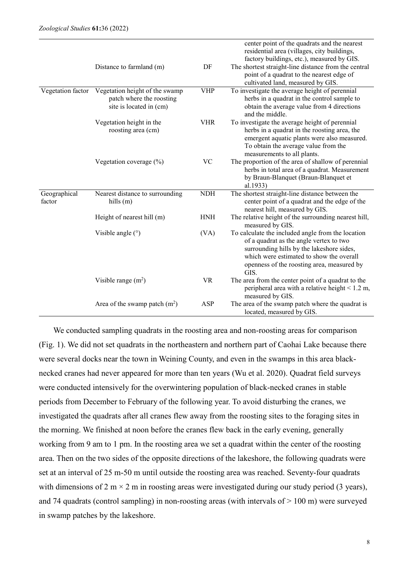|                        | Distance to farmland (m)                                                              | DF         | center point of the quadrats and the nearest<br>residential area (villages, city buildings,<br>factory buildings, etc.), measured by GIS.<br>The shortest straight-line distance from the central<br>point of a quadrat to the nearest edge of<br>cultivated land, measured by GIS. |
|------------------------|---------------------------------------------------------------------------------------|------------|-------------------------------------------------------------------------------------------------------------------------------------------------------------------------------------------------------------------------------------------------------------------------------------|
| Vegetation factor      | Vegetation height of the swamp<br>patch where the roosting<br>site is located in (cm) | <b>VHP</b> | To investigate the average height of perennial<br>herbs in a quadrat in the control sample to<br>obtain the average value from 4 directions<br>and the middle.                                                                                                                      |
|                        | Vegetation height in the<br>roosting area (cm)                                        | <b>VHR</b> | To investigate the average height of perennial<br>herbs in a quadrat in the roosting area, the<br>emergent aquatic plants were also measured.<br>To obtain the average value from the<br>measurements to all plants.                                                                |
|                        | Vegetation coverage (%)                                                               | <b>VC</b>  | The proportion of the area of shallow of perennial<br>herbs in total area of a quadrat. Measurement<br>by Braun-Blanquet (Braun-Blanquet et<br>al.1933)                                                                                                                             |
| Geographical<br>factor | Nearest distance to surrounding<br>hills $(m)$                                        | <b>NDH</b> | The shortest straight-line distance between the<br>center point of a quadrat and the edge of the<br>nearest hill, measured by GIS.                                                                                                                                                  |
|                        | Height of nearest hill (m)                                                            | <b>HNH</b> | The relative height of the surrounding nearest hill,<br>measured by GIS.                                                                                                                                                                                                            |
|                        | Visible angle $(°)$                                                                   | (VA)       | To calculate the included angle from the location<br>of a quadrat as the angle vertex to two<br>surrounding hills by the lakeshore sides,<br>which were estimated to show the overall<br>openness of the roosting area, measured by<br>GIS.                                         |
|                        | Visible range $(m^2)$                                                                 | <b>VR</b>  | The area from the center point of a quadrat to the<br>peripheral area with a relative height $< 1.2$ m,<br>measured by GIS.                                                                                                                                                         |
|                        | Area of the swamp patch $(m2)$                                                        | ASP        | The area of the swamp patch where the quadrat is<br>located, measured by GIS.                                                                                                                                                                                                       |

We conducted sampling quadrats in the roosting area and non-roosting areas for comparison (Fig. 1). We did not set quadrats in the northeastern and northern part of Caohai Lake because there were several docks near the town in Weining County, and even in the swamps in this area blacknecked cranes had never appeared for more than ten years (Wu et al. 2020). Quadrat field surveys were conducted intensively for the overwintering population of black-necked cranes in stable periods from December to February of the following year. To avoid disturbing the cranes, we investigated the quadrats after all cranes flew away from the roosting sites to the foraging sites in the morning. We finished at noon before the cranes flew back in the early evening, generally working from 9 am to 1 pm. In the roosting area we set a quadrat within the center of the roosting area. Then on the two sides of the opposite directions of the lakeshore, the following quadrats were set at an interval of 25 m-50 m until outside the roosting area was reached. Seventy-four quadrats with dimensions of 2 m  $\times$  2 m in roosting areas were investigated during our study period (3 years), and 74 quadrats (control sampling) in non-roosting areas (with intervals of > 100 m) were surveyed in swamp patches by the lakeshore.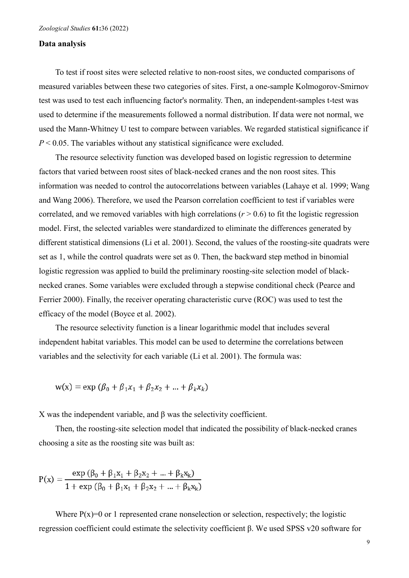## **Data analysis**

To test if roost sites were selected relative to non-roost sites, we conducted comparisons of measured variables between these two categories of sites. First, a one-sample Kolmogorov-Smirnov test was used to test each influencing factor's normality. Then, an independent-samples t-test was used to determine if the measurements followed a normal distribution. If data were not normal, we used the Mann-Whitney U test to compare between variables. We regarded statistical significance if *P* < 0.05. The variables without any statistical significance were excluded.

The resource selectivity function was developed based on logistic regression to determine factors that varied between roost sites of black-necked cranes and the non roost sites. This information was needed to control the autocorrelations between variables (Lahaye et al. 1999; Wang and Wang 2006). Therefore, we used the Pearson correlation coefficient to test if variables were correlated, and we removed variables with high correlations  $(r > 0.6)$  to fit the logistic regression model. First, the selected variables were standardized to eliminate the differences generated by different statistical dimensions (Li et al. 2001). Second, the values of the roosting-site quadrats were set as 1, while the control quadrats were set as 0. Then, the backward step method in binomial logistic regression was applied to build the preliminary roosting-site selection model of blacknecked cranes. Some variables were excluded through a stepwise conditional check (Pearce and Ferrier 2000). Finally, the receiver operating characteristic curve (ROC) was used to test the efficacy of the model (Boyce et al. 2002).

The resource selectivity function is a linear logarithmic model that includes several independent habitat variables. This model can be used to determine the correlations between variables and the selectivity for each variable (Li et al. 2001). The formula was:

$$
w(x) = exp (\beta_0 + \beta_1 x_1 + \beta_2 x_2 + ... + \beta_k x_k)
$$

X was the independent variable, and β was the selectivity coefficient.

Then, the roosting-site selection model that indicated the possibility of black-necked cranes choosing a site as the roosting site was built as:

$$
P(x) = \frac{\exp (\beta_0 + \beta_1 x_1 + \beta_2 x_2 + ... + \beta_k x_k)}{1 + \exp (\beta_0 + \beta_1 x_1 + \beta_2 x_2 + ... + \beta_k x_k)}
$$

Where  $P(x)=0$  or 1 represented crane nonselection or selection, respectively; the logistic regression coefficient could estimate the selectivity coefficient β. We used SPSS v20 software for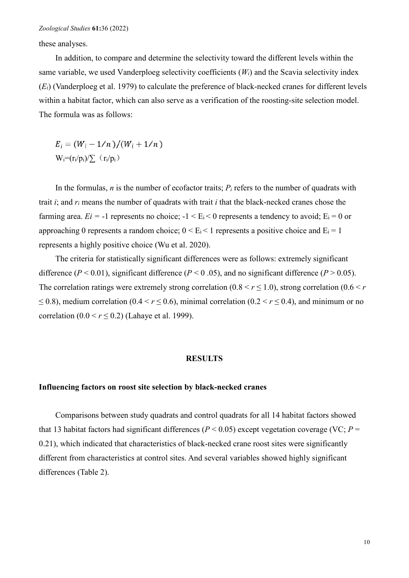these analyses.

In addition, to compare and determine the selectivity toward the different levels within the same variable, we used Vanderploeg selectivity coefficients (*Wi*) and the Scavia selectivity index (*Ei*) (Vanderploeg et al. 1979) to calculate the preference of black-necked cranes for different levels within a habitat factor, which can also serve as a verification of the roosting-site selection model. The formula was as follows:

 $E_i = (W_i - 1/n)/(W_i + 1/n)$  $W_i=(r_i/p_i)/\sum_{i}(r_i/p_i)$ 

In the formulas,  $n$  is the number of ecofactor traits;  $P_i$  refers to the number of quadrats with trait *i*; and *ri* means the number of quadrats with trait *i* that the black-necked cranes chose the farming area.  $E_i = -1$  represents no choice;  $-1 \le E_i \le 0$  represents a tendency to avoid;  $E_i = 0$  or approaching 0 represents a random choice;  $0 \le E_i \le 1$  represents a positive choice and  $E_i = 1$ represents a highly positive choice (Wu et al. 2020).

The criteria for statistically significant differences were as follows: extremely significant difference ( $P < 0.01$ ), significant difference ( $P < 0.05$ ), and no significant difference ( $P > 0.05$ ). The correlation ratings were extremely strong correlation  $(0.8 \le r \le 1.0)$ , strong correlation  $(0.6 \le r \le 1.0)$  $\leq$  0.8), medium correlation (0.4 < *r*  $\leq$  0.6), minimal correlation (0.2 < *r*  $\leq$  0.4), and minimum or no correlation  $(0.0 < r \le 0.2)$  (Lahaye et al. 1999).

#### **RESULTS**

# **Influencing factors on roost site selection by black-necked cranes**

Comparisons between study quadrats and control quadrats for all 14 habitat factors showed that 13 habitat factors had significant differences ( $P < 0.05$ ) except vegetation coverage (VC;  $P =$ 0.21), which indicated that characteristics of black-necked crane roost sites were significantly different from characteristics at control sites. And several variables showed highly significant differences (Table 2).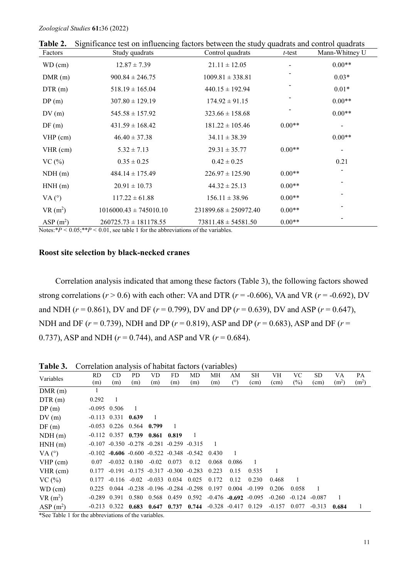| Factors       | $\sim$ toot on infrastruit,<br>Study quadrats | ractors corn con the state, qualitats and control qualitates<br>Control quadrats | $t$ -test | Mann-Whitney U |
|---------------|-----------------------------------------------|----------------------------------------------------------------------------------|-----------|----------------|
| $WD$ (cm)     | $12.87 \pm 7.39$                              | $21.11 \pm 12.05$                                                                |           | $0.00**$       |
| DMR(m)        | $900.84 \pm 246.75$                           | $1009.81 \pm 338.81$                                                             |           | $0.03*$        |
| DTR(m)        | $518.19 \pm 165.04$                           | $440.15 \pm 192.94$                                                              |           | $0.01*$        |
| DP(m)         | $307.80 \pm 129.19$                           | $174.92 \pm 91.15$                                                               |           | $0.00**$       |
| DV(m)         | $545.58 \pm 157.92$                           | $323.66 \pm 158.68$                                                              |           | $0.00**$       |
| DF(m)         | $431.59 \pm 168.42$                           | $181.22 \pm 105.46$                                                              | $0.00**$  |                |
| $VHP$ (cm)    | $46.40 \pm 37.38$                             | $34.11 \pm 38.39$                                                                |           | $0.00**$       |
| $VHR$ (cm)    | $5.32 \pm 7.13$                               | $29.31 \pm 35.77$                                                                | $0.00**$  |                |
| VC(%)         | $0.35 \pm 0.25$                               | $0.42 \pm 0.25$                                                                  |           | 0.21           |
| NDH(m)        | $484.14 \pm 175.49$                           | $226.97 \pm 125.90$                                                              | $0.00**$  |                |
| HNH(m)        | $20.91 \pm 10.73$                             | $44.32 \pm 25.13$                                                                | $0.00**$  |                |
| VA $(^\circ)$ | $117.22 \pm 61.88$                            | $156.11 \pm 38.96$                                                               | $0.00**$  |                |
| $VR(m^2)$     | $1016000.43 \pm 745010.10$                    | $231899.68 \pm 250972.40$                                                        | $0.00**$  |                |
| ASP $(m2)$    | $260725.73 \pm 181178.55$                     | $73811.48 \pm 54581.50$                                                          | $0.00**$  |                |

**Table 2.** Significance test on influencing factors between the study quadrats and control quadrats

Notes: $*P < 0.05$ ;  $*P < 0.01$ , see table 1 for the abbreviations of the variables.

# **Roost site selection by black-necked cranes**

Correlation analysis indicated that among these factors (Table 3), the following factors showed strong correlations ( $r > 0.6$ ) with each other: VA and DTR ( $r = -0.606$ ), VA and VR ( $r = -0.692$ ), DV and NDH ( $r = 0.861$ ), DV and DF ( $r = 0.799$ ), DV and DP ( $r = 0.639$ ), DV and ASP ( $r = 0.647$ ), NDH and DF (*r* = 0.739), NDH and DP (*r* = 0.819), ASP and DP (*r* = 0.683), ASP and DF (*r* = 0.737), ASP and NDH (*r* = 0.744), and ASP and VR (*r* = 0.684).

Variables RD (m) CD (m) PD (m) VD (m) FD (m) MD (m) MH (m) AM (°) SH (cm) VH (cm) VC  $(%)$ SD (cm) VA  $(m<sup>2</sup>)$ PA  $(m<sup>2</sup>)$  $DMR(m)$  1 DTR (m) 0.292 1 DP (m)  $-0.095$  0.506 1 DV (m) -0.113 0.331 **0.639** 1 DF (m) -0.053 0.226 0.564 **0.799** 1 NDH (m) -0.112 0.357 **0.739 0.861 0.819** 1 HNH (m) -0.107 -0.350 -0.278 -0.281 -0.259 -0.315 1 VA (°) -0.102 -**0.606** -0.600 -0.522 -0.348 -0.542 0.430 1 VHP (cm) 0.07 -0.032 0.180 -0.02 0.073 0.12 0.068 0.086 1 VHR (cm) 0.177 -0.191 -0.175 -0.317 -0.300 -0.283 0.223 0.15 0.535 1 VC (%) 0.177 -0.116 -0.02 -0.033 0.034 0.025 0.172 0.12 0.230 0.468 1 WD (cm) 0.225 0.044 -0.238 -0.196 -0.284 -0.298 0.197 0.004 -0.199 0.206 0.058 1  $VR(m^2)$ ) -0.289 0.391 0.580 0.568 0.459 0.592 -0.476 **-0.692** -0.095 -0.260 -0.124 -0.087 1 ASP  $(m<sup>2</sup>)$ ) -0.213 0.322 **0.683 0.647 0.737 0.744** -0.328 -0.417 0.129 -0.157 0.077 -0.313 **0.684** 1

**Table 3.** Correlation analysis of habitat factors (variables)

\*See Table 1 for the abbreviations of the variables.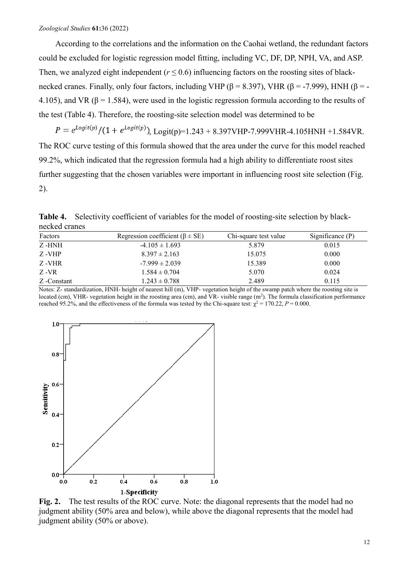According to the correlations and the information on the Caohai wetland, the redundant factors could be excluded for logistic regression model fitting, including VC, DF, DP, NPH, VA, and ASP. Then, we analyzed eight independent  $(r \le 0.6)$  influencing factors on the roosting sites of blacknecked cranes. Finally, only four factors, including VHP (β = 8.397), VHR (β = -7.999), HNH (β = -4.105), and VR ( $\beta$  = 1.584), were used in the logistic regression formula according to the results of the test (Table 4). Therefore, the roosting-site selection model was determined to be

$$
P = e^{Logit(p)} / (1 + e^{Logit(p)})
$$
, Logit(p)=1.243 + 8.397VHP-7.999VHR-4.105HNH +1.584VR.

The ROC curve testing of this formula showed that the area under the curve for this model reached 99.2%, which indicated that the regression formula had a high ability to differentiate roost sites further suggesting that the chosen variables were important in influencing roost site selection (Fig. 2).

| Factors     | Regression coefficient ( $\beta \pm SE$ ) | Chi-square test value | Significance $(P)$ |  |
|-------------|-------------------------------------------|-----------------------|--------------------|--|
| Z -HNH      | $-4.105 \pm 1.693$                        | 5.879                 | 0.015              |  |
| Z -VHP      | $8.397 \pm 2.163$                         | 15.075                | 0.000              |  |
| Z -VHR      | $-7.999 \pm 2.039$                        | 15.389                | 0.000              |  |
| Z -VR       | $1.584 \pm 0.704$                         | 5.070                 | 0.024              |  |
| Z -Constant | $1.243 \pm 0.788$                         | 2.489                 | 0.115              |  |

**Table 4.** Selectivity coefficient of variables for the model of roosting-site selection by blacknecked cranes

Notes: Z- standardization, HNH- height of nearest hill (m), VHP- vegetation height of the swamp patch where the roosting site is located (cm), VHR- vegetation height in the roosting area (cm), and VR- visible range  $(m^2)$ . The formula classification performance reached 95.2%, and the effectiveness of the formula was tested by the Chi-square test:  $\chi^2 = 170.22$ ,  $P = 0.000$ .



**Fig. 2.** The test results of the ROC curve. Note: the diagonal represents that the model had no judgment ability (50% area and below), while above the diagonal represents that the model had judgment ability (50% or above).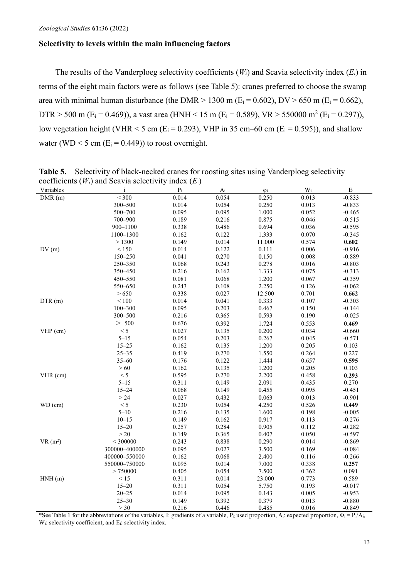# **Selectivity to levels within the main influencing factors**

The results of the Vanderploeg selectivity coefficients (*Wi*) and Scavia selectivity index (*Ei*) in terms of the eight main factors were as follows (see Table 5): cranes preferred to choose the swamp area with minimal human disturbance (the DMR  $> 1300$  m (E<sub>i</sub> = 0.602), DV  $> 650$  m (E<sub>i</sub> = 0.662), DTR > 500 m (E<sub>i</sub> = 0.469)), a vast area (HNH < 15 m (E<sub>i</sub> = 0.589), VR > 550000 m<sup>2</sup> (E<sub>i</sub> = 0.297)), low vegetation height (VHR  $<$  5 cm (E<sub>i</sub> = 0.293), VHP in 35 cm–60 cm (E<sub>i</sub> = 0.595)), and shallow water (WD  $\leq$  5 cm (E<sub>i</sub> = 0.449)) to roost overnight.

| Variables  | $\frac{1}{2}$ coefficients ( <i>III)</i> and seavid selectivity<br>$\mathbf{i}$ | $\mu$ $\alpha$ ( $\mu$ <sup>1</sup> )<br>$\mathbf{p}_i$ | $\mathbf{A}_i$ | $\phi_i$  | $\overline{W_i}$ | $\rm E_i$ |
|------------|---------------------------------------------------------------------------------|---------------------------------------------------------|----------------|-----------|------------------|-----------|
| DMR(m)     | < 300                                                                           | 0.014                                                   | 0.054          | 0.250     | 0.013            | $-0.833$  |
|            | 300-500                                                                         | 0.014                                                   | 0.054          | 0.250     | 0.013            | $-0.833$  |
|            | 500-700                                                                         | 0.095                                                   | 0.095          | $1.000\,$ | 0.052            | $-0.465$  |
|            | 700-900                                                                         | 0.189                                                   | 0.216          | 0.875     | 0.046            | $-0.515$  |
|            | 900-1100                                                                        | 0.338                                                   | 0.486          | 0.694     | 0.036            | $-0.595$  |
|            | 1100-1300                                                                       | 0.162                                                   | 0.122          | 1.333     | 0.070            | $-0.345$  |
|            | > 1300                                                                          | 0.149                                                   | 0.014          | 11.000    | 0.574            | 0.602     |
| DV(m)      | $\leq 150$                                                                      | 0.014                                                   | 0.122          | 0.111     | 0.006            | $-0.916$  |
|            | 150-250                                                                         | 0.041                                                   | 0.270          | 0.150     | 0.008            | $-0.889$  |
|            | 250-350                                                                         | 0.068                                                   | 0.243          | 0.278     | 0.016            | $-0.803$  |
|            | 350-450                                                                         | 0.216                                                   | 0.162          | 1.333     | 0.075            | $-0.313$  |
|            | 450-550                                                                         | 0.081                                                   | 0.068          | 1.200     | 0.067            | $-0.359$  |
|            | 550-650                                                                         | 0.243                                                   | 0.108          | 2.250     | 0.126            | $-0.062$  |
|            | > 650                                                                           | 0.338                                                   | 0.027          | 12.500    | 0.701            | 0.662     |
| DTR(m)     | $\leq 100$                                                                      | 0.014                                                   | 0.041          | 0.333     | 0.107            | $-0.303$  |
|            | $100 - 300$                                                                     | 0.095                                                   | 0.203          | 0.467     | 0.150            | $-0.144$  |
|            | 300-500                                                                         | 0.216                                                   | 0.365          | 0.593     | 0.190            | $-0.025$  |
|            | $> 500$                                                                         | 0.676                                                   | 0.392          | 1.724     | 0.553            | 0.469     |
| VHP (cm)   | < 5                                                                             | 0.027                                                   | 0.135          | 0.200     | 0.034            | $-0.660$  |
|            | $5 - 15$                                                                        | 0.054                                                   | 0.203          | 0.267     | 0.045            | $-0.571$  |
|            | $15 - 25$                                                                       | 0.162                                                   | 0.135          | 1.200     | 0.205            | 0.103     |
|            | $25 - 35$                                                                       | 0.419                                                   | 0.270          | 1.550     | 0.264            | 0.227     |
|            | $35 - 60$                                                                       | 0.176                                                   | 0.122          | 1.444     | 0.657            | 0.595     |
|            | $>60$                                                                           | 0.162                                                   | 0.135          | 1.200     | 0.205            | 0.103     |
| $VHR$ (cm) | < 5                                                                             | 0.595                                                   | 0.270          | 2.200     | 0.458            | 0.293     |
|            | $5 - 15$                                                                        | 0.311                                                   | 0.149          | 2.091     | 0.435            | 0.270     |
|            | $15 - 24$                                                                       | 0.068                                                   | 0.149          | 0.455     | 0.095            | $-0.451$  |
|            | >24                                                                             | 0.027                                                   | 0.432          | 0.063     | 0.013            | $-0.901$  |
| $WD$ (cm)  | < 5                                                                             | 0.230                                                   | 0.054          | 4.250     | 0.526            | 0.449     |
|            | $5 - 10$                                                                        | 0.216                                                   | 0.135          | 1.600     | 0.198            | $-0.005$  |
|            | $10 - 15$                                                                       | 0.149                                                   | 0.162          | 0.917     | 0.113            | $-0.276$  |
|            | $15 - 20$                                                                       | 0.257                                                   | 0.284          | 0.905     | 0.112            | $-0.282$  |
|            | $>20$                                                                           | 0.149                                                   | 0.365          | 0.407     | 0.050            | $-0.597$  |
| $VR(m^2)$  | $<$ 300000                                                                      | 0.243                                                   | 0.838          | 0.290     | 0.014            | $-0.869$  |
|            | 300000-400000                                                                   | 0.095                                                   | 0.027          | 3.500     | 0.169            | $-0.084$  |
|            | 400000-550000                                                                   | 0.162                                                   | 0.068          | 2.400     | 0.116            | $-0.266$  |
|            | 550000-750000                                                                   | 0.095                                                   | 0.014          | 7.000     | 0.338            | 0.257     |
|            | > 750000                                                                        | 0.405                                                   | 0.054          | 7.500     | 0.362            | 0.091     |
| HNH(m)     | $<15$                                                                           | 0.311                                                   | 0.014          | 23.000    | 0.773            | 0.589     |
|            | $15 - 20$                                                                       | 0.311                                                   | 0.054          | 5.750     | 0.193            | $-0.017$  |
|            | $20 - 25$                                                                       | 0.014                                                   | 0.095          | 0.143     | 0.005            | $-0.953$  |
|            | $25 - 30$                                                                       | 0.149                                                   | 0.392          | 0.379     | 0.013            | $-0.880$  |
|            | $>30$                                                                           | 0.216                                                   | 0.446          | 0.485     | 0.016            | $-0.849$  |

**Table 5.** Selectivity of black-necked cranes for roosting sites using Vanderploeg selectivity coefficients (*Wi*) and Scavia selectivity index (*E*i)

\*See Table 1 for the abbreviations of the variables, I: gradients of a variable, P<sub>i</sub>: used proportion, A<sub>i</sub>: expected proportion,  $\Phi_i = P_i/A_i$ , W<sub>i</sub>: selectivity coefficient, and E<sub>i</sub>: selectivity index.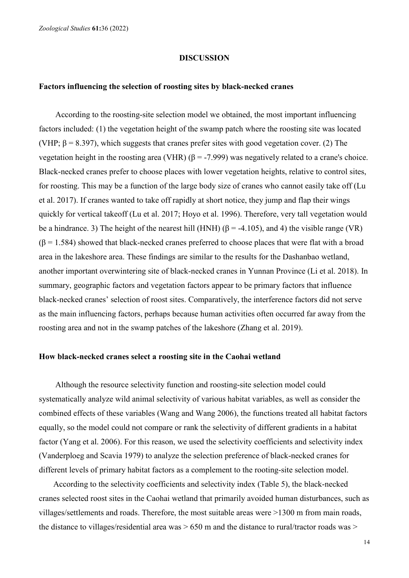#### **DISCUSSION**

#### **Factors influencing the selection of roosting sites by black-necked cranes**

According to the roosting-site selection model we obtained, the most important influencing factors included: (1) the vegetation height of the swamp patch where the roosting site was located (VHP;  $\beta$  = 8.397), which suggests that cranes prefer sites with good vegetation cover. (2) The vegetation height in the roosting area (VHR)  $(β = -7.999)$  was negatively related to a crane's choice. Black-necked cranes prefer to choose places with lower vegetation heights, relative to control sites, for roosting. This may be a function of the large body size of cranes who cannot easily take off (Lu et al. 2017). If cranes wanted to take off rapidly at short notice, they jump and flap their wings quickly for vertical takeoff (Lu et al. 2017; Hoyo et al. 1996). Therefore, very tall vegetation would be a hindrance. 3) The height of the nearest hill (HNH) ( $\beta$  = -4.105), and 4) the visible range (VR)  $(\beta = 1.584)$  showed that black-necked cranes preferred to choose places that were flat with a broad area in the lakeshore area. These findings are similar to the results for the Dashanbao wetland, another important overwintering site of black-necked cranes in Yunnan Province (Li et al. 2018). In summary, geographic factors and vegetation factors appear to be primary factors that influence black-necked cranes' selection of roost sites. Comparatively, the interference factors did not serve as the main influencing factors, perhaps because human activities often occurred far away from the roosting area and not in the swamp patches of the lakeshore (Zhang et al. 2019).

#### **How black-necked cranes select a roosting site in the Caohai wetland**

Although the resource selectivity function and roosting-site selection model could systematically analyze wild animal selectivity of various habitat variables, as well as consider the combined effects of these variables (Wang and Wang 2006), the functions treated all habitat factors equally, so the model could not compare or rank the selectivity of different gradients in a habitat factor (Yang et al. 2006). For this reason, we used the selectivity coefficients and selectivity index (Vanderploeg and Scavia 1979) to analyze the selection preference of black-necked cranes for different levels of primary habitat factors as a complement to the rooting-site selection model.

According to the selectivity coefficients and selectivity index (Table 5), the black-necked cranes selected roost sites in the Caohai wetland that primarily avoided human disturbances, such as villages/settlements and roads. Therefore, the most suitable areas were >1300 m from main roads, the distance to villages/residential area was  $> 650$  m and the distance to rural/tractor roads was  $>$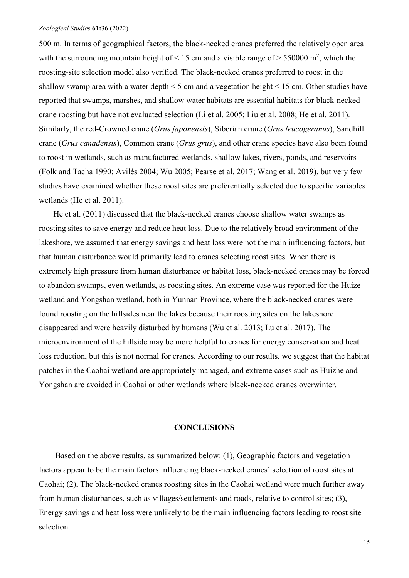500 m. In terms of geographical factors, the black-necked cranes preferred the relatively open area with the surrounding mountain height of  $\leq 15$  cm and a visible range of  $> 550000$  m<sup>2</sup>, which the roosting-site selection model also verified. The black-necked cranes preferred to roost in the shallow swamp area with a water depth  $\leq$  5 cm and a vegetation height  $\leq$  15 cm. Other studies have reported that swamps, marshes, and shallow water habitats are essential habitats for black-necked crane roosting but have not evaluated selection (Li et al. 2005; Liu et al. 2008; He et al. 2011). Similarly, the red-Crowned crane (*Grus japonensis*), Siberian crane (*Grus leucogeranus*), Sandhill crane (*Grus canadensis*), Common crane (*Grus grus*), and other crane species have also been found to roost in wetlands, such as manufactured wetlands, shallow lakes, rivers, ponds, and reservoirs (Folk and Tacha 1990; Avilés 2004; Wu 2005; Pearse et al. 2017; Wang et al. 2019), but very few studies have examined whether these roost sites are preferentially selected due to specific variables wetlands (He et al. 2011).

He et al. (2011) discussed that the black-necked cranes choose shallow water swamps as roosting sites to save energy and reduce heat loss. Due to the relatively broad environment of the lakeshore, we assumed that energy savings and heat loss were not the main influencing factors, but that human disturbance would primarily lead to cranes selecting roost sites. When there is extremely high pressure from human disturbance or habitat loss, black-necked cranes may be forced to abandon swamps, even wetlands, as roosting sites. An extreme case was reported for the Huize wetland and Yongshan wetland, both in Yunnan Province, where the black-necked cranes were found roosting on the hillsides near the lakes because their roosting sites on the lakeshore disappeared and were heavily disturbed by humans (Wu et al. 2013; Lu et al. 2017). The microenvironment of the hillside may be more helpful to cranes for energy conservation and heat loss reduction, but this is not normal for cranes. According to our results, we suggest that the habitat patches in the Caohai wetland are appropriately managed, and extreme cases such as Huizhe and Yongshan are avoided in Caohai or other wetlands where black-necked cranes overwinter.

## **CONCLUSIONS**

Based on the above results, as summarized below: (1), Geographic factors and vegetation factors appear to be the main factors influencing black-necked cranes' selection of roost sites at Caohai; (2), The black-necked cranes roosting sites in the Caohai wetland were much further away from human disturbances, such as villages/settlements and roads, relative to control sites; (3), Energy savings and heat loss were unlikely to be the main influencing factors leading to roost site selection.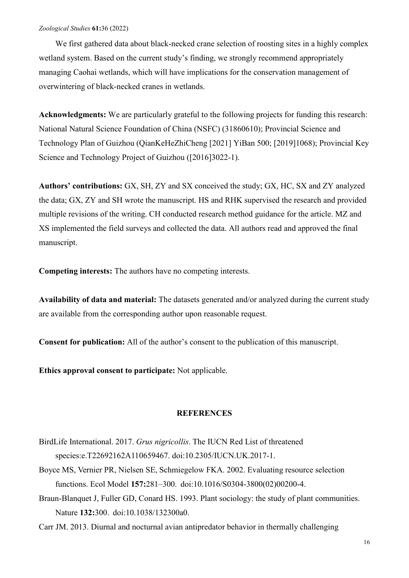We first gathered data about black-necked crane selection of roosting sites in a highly complex wetland system. Based on the current study's finding, we strongly recommend appropriately managing Caohai wetlands, which will have implications for the conservation management of overwintering of black-necked cranes in wetlands.

**Acknowledgments:** We are particularly grateful to the following projects for funding this research: National Natural Science Foundation of China (NSFC) (31860610); Provincial Science and Technology Plan of Guizhou (QianKeHeZhiCheng [2021] YiBan 500; [2019]1068); Provincial Key Science and Technology Project of Guizhou ([2016]3022-1).

**Authors' contributions:** GX, SH, ZY and SX conceived the study; GX, HC, SX and ZY analyzed the data; GX, ZY and SH wrote the manuscript. HS and RHK supervised the research and provided multiple revisions of the writing. CH conducted research method guidance for the article. MZ and XS implemented the field surveys and collected the data. All authors read and approved the final manuscript.

**Competing interests:** The authors have no competing interests.

**Availability of data and material:** The datasets generated and/or analyzed during the current study are available from the corresponding author upon reasonable request.

**Consent for publication:** All of the author's consent to the publication of this manuscript.

**Ethics approval consent to participate:** Not applicable.

## **REFERENCES**

- BirdLife International. 2017. *Grus nigricollis*. The IUCN Red List of threatened species:e.T22692162A110659467. doi:10.2305/IUCN.UK.2017-1.
- Boyce MS, Vernier PR, Nielsen SE, Schmiegelow FKA. 2002. Evaluating resource selection functions. Ecol Model **157:**281–300. doi:10.1016/S0304-3800(02)00200-4.
- Braun-Blanquet J, Fuller GD, Conard HS. 1993. Plant sociology: the study of plant communities. Nature **132:**300. doi:10.1038/132300a0.

Carr JM. 2013. Diurnal and nocturnal avian antipredator behavior in thermally challenging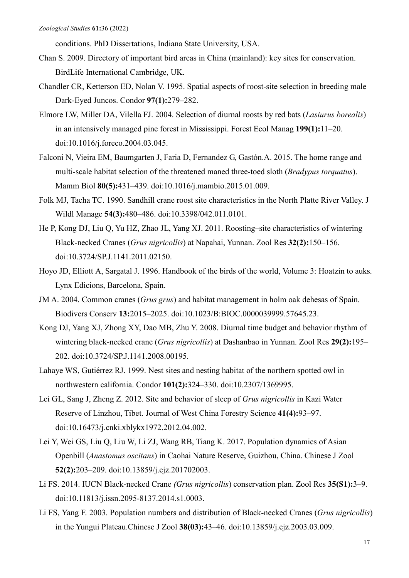conditions. PhD Dissertations, Indiana State University, USA.

- Chan S. 2009. Directory of important bird areas in China (mainland): key sites for conservation. BirdLife International Cambridge, UK.
- Chandler CR, Ketterson ED, Nolan V. 1995. Spatial aspects of roost-site selection in breeding male Dark-Eyed Juncos. Condor **97(1):**279–282.
- Elmore LW, Miller DA, Vilella FJ. 2004. Selection of diurnal roosts by red bats (*Lasiurus borealis*) in an intensively managed pine forest in Mississippi. Forest Ecol Manag **199(1):**11–20. doi:10.1016/j.foreco.2004.03.045.
- Falconi N, Vieira EM, Baumgarten J, Faria D, Fernandez G, Gastón.A. 2015. The home range and multi-scale habitat selection of the threatened maned three-toed sloth (*Bradypus torquatus*). Mamm Biol **80(5):**431–439. doi:10.1016/j.mambio.2015.01.009.
- Folk MJ, Tacha TC. 1990. Sandhill crane roost site characteristics in the North Platte River Valley. J Wildl Manage **54(3):**480–486. doi:10.3398/042.011.0101.
- He P, Kong DJ, Liu Q, Yu HZ, Zhao JL, Yang XJ. 2011. Roosting–site characteristics of wintering Black-necked Cranes (*Grus nigricollis*) at Napahai, Yunnan. Zool Res **32(2):**150–156. doi:10.3724/SP.J.1141.2011.02150.
- Hoyo JD, Elliott A, Sargatal J. 1996. Handbook of the birds of the world, Volume 3: Hoatzin to auks. Lynx Edicions, Barcelona, Spain.
- JM A. 2004. Common cranes (*Grus grus*) and habitat management in holm oak dehesas of Spain. Biodivers Conserv **13:**2015–2025. doi:10.1023/B:BIOC.0000039999.57645.23.
- Kong DJ, Yang XJ, Zhong XY, Dao MB, Zhu Y. 2008. Diurnal time budget and behavior rhythm of wintering black-necked crane (*Grus nigricollis*) at Dashanbao in Yunnan. Zool Res **29(2):**195– 202. doi:10.3724/SP.J.1141.2008.00195.
- Lahaye WS, Gutiérrez RJ. 1999. Nest sites and nesting habitat of the northern spotted owl in northwestern california. Condor **101(2):**324–330. doi:10.2307/1369995.
- Lei GL, Sang J, Zheng Z. 2012. Site and behavior of sleep of *Grus nigricollis* in Kazi Water Reserve of Linzhou, Tibet. Journal of West China Forestry Science **41(4):**93–97. doi:10.16473/j.cnki.xblykx1972.2012.04.002.
- Lei Y, Wei GS, Liu Q, Liu W, Li ZJ, Wang RB, Tiang K. 2017. Population dynamics of Asian Openbill (*Anastomus oscitans*) in Caohai Nature Reserve, Guizhou, China. Chinese J Zool **52(2):**203–209. doi:10.13859/j.cjz.201702003.
- Li FS. 2014. IUCN Black-necked Crane *(Grus nigricollis*) conservation plan. Zool Res **35(S1):**3–9. doi:10.11813/j.issn.2095-8137.2014.s1.0003.
- Li FS, Yang F. 2003. Population numbers and distribution of Black-necked Cranes (*Grus nigricollis*) in the Yungui Plateau.Chinese J Zool **38(03):**43–46. doi:10.13859/j.cjz.2003.03.009.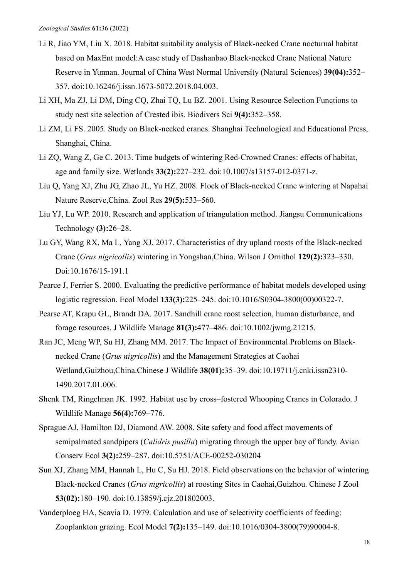- Li R, Jiao YM, Liu X. 2018. Habitat suitability analysis of Black-necked Crane nocturnal habitat based on MaxEnt model:A case study of Dashanbao Black-necked Crane National Nature Reserve in Yunnan. Journal of China West Normal University (Natural Sciences) **39(04):**352– 357. doi:10.16246/j.issn.1673-5072.2018.04.003.
- Li XH, Ma ZJ, Li DM, Ding CQ, Zhai TQ, Lu BZ. 2001. Using Resource Selection Functions to study nest site selection of Crested ibis. Biodivers Sci **9(4):**352–358.
- Li ZM, Li FS. 2005. Study on Black-necked cranes. Shanghai Technological and Educational Press, Shanghai, China.
- Li ZQ, Wang Z, Ge C. 2013. Time budgets of wintering Red-Crowned Cranes: effects of habitat, age and family size. Wetlands **33(2):**227–232. doi:10.1007/s13157-012-0371-z.
- Liu Q, Yang XJ, Zhu JG, Zhao JL, Yu HZ. 2008. Flock of Black-necked Crane wintering at Napahai Nature Reserve,China. Zool Res **29(5):**533–560.
- Liu YJ, Lu WP. 2010. Research and application of triangulation method. Jiangsu Communications Technology **(3):**26–28.
- Lu GY, Wang RX, Ma L, Yang XJ. 2017. Characteristics of dry upland roosts of the Black-necked Crane (*Grus nigricollis*) wintering in Yongshan,China. Wilson J Ornithol **129(2):**323–330. Doi:10.1676/15-191.1
- Pearce J, Ferrier S. 2000. Evaluating the predictive performance of habitat models developed using logistic regression. Ecol Model **133(3):**225–245. doi:10.1016/S0304-3800(00)00322-7.
- Pearse AT, Krapu GL, Brandt DA. 2017. Sandhill crane roost selection, human disturbance, and forage resources. J Wildlife Manage **81(3):**477–486. doi:10.1002/jwmg.21215.
- Ran JC, Meng WP, Su HJ, Zhang MM. 2017. The Impact of Environmental Problems on Blacknecked Crane (*Grus nigricollis*) and the Management Strategies at Caohai Wetland,Guizhou,China.Chinese J Wildlife **38(01):**35–39. doi:10.19711/j.cnki.issn2310- 1490.2017.01.006.
- Shenk TM, Ringelman JK. 1992. Habitat use by cross–fostered Whooping Cranes in Colorado. J Wildlife Manage **56(4):**769–776.
- Sprague AJ, Hamilton DJ, Diamond AW. 2008. Site safety and food affect movements of semipalmated sandpipers (*Calidris pusilla*) migrating through the upper bay of fundy. Avian Conserv Ecol **3(2):**259–287. doi:10.5751/ACE-00252-030204
- Sun XJ, Zhang MM, Hannah L, Hu C, Su HJ. 2018. Field observations on the behavior of wintering Black-necked Cranes (*Grus nigricollis*) at roosting Sites in Caohai,Guizhou. Chinese J Zool **53(02):**180–190. doi:10.13859/j.cjz.201802003.
- Vanderploeg HA, Scavia D. 1979. Calculation and use of selectivity coefficients of feeding: Zooplankton grazing. Ecol Model **7(2):**135–149. doi:10.1016/0304-3800(79)90004-8.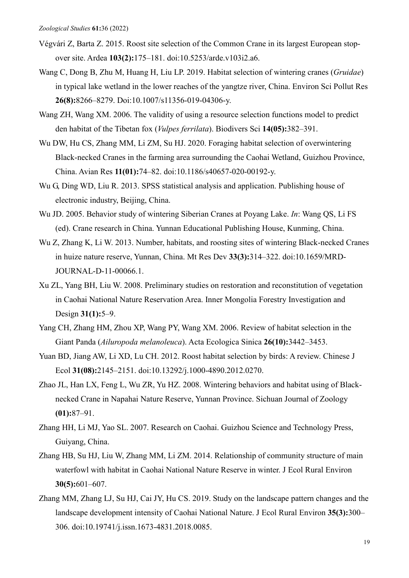- Végvári Z, Barta Z. 2015. Roost site selection of the Common Crane in its largest European stopover site. Ardea **103(2):**175–181. doi:10.5253/arde.v103i2.a6.
- Wang C, Dong B, Zhu M, Huang H, Liu LP. 2019. Habitat selection of wintering cranes (*Gruidae*) in typical lake wetland in the lower reaches of the yangtze river, China. Environ Sci Pollut Res **26(8):**8266–8279. Doi:10.1007/s11356-019-04306-y.
- Wang ZH, Wang XM. 2006. The validity of using a resource selection functions model to predict den habitat of the Tibetan fox (*Vulpes ferrilata*). Biodivers Sci **14(05):**382–391.
- Wu DW, Hu CS, Zhang MM, Li ZM, Su HJ. 2020. Foraging habitat selection of overwintering Black-necked Cranes in the farming area surrounding the Caohai Wetland, Guizhou Province, China. Avian Res **11(01):**74–82. doi:10.1186/s40657-020-00192-y.
- Wu G, Ding WD, Liu R. 2013. SPSS statistical analysis and application. Publishing house of electronic industry, Beijing, China.
- Wu JD. 2005. Behavior study of wintering Siberian Cranes at Poyang Lake. *In*: Wang QS, Li FS (ed). Crane research in China. Yunnan Educational Publishing House, Kunming, China.
- Wu Z, Zhang K, Li W. 2013. Number, habitats, and roosting sites of wintering Black-necked Cranes in huize nature reserve, Yunnan, China. Mt Res Dev **33(3):**314–322. doi:10.1659/MRD-JOURNAL-D-11-00066.1.
- Xu ZL, Yang BH, Liu W. 2008. Preliminary studies on restoration and reconstitution of vegetation in Caohai National Nature Reservation Area. Inner Mongolia Forestry Investigation and Design **31(1):**5–9.
- Yang CH, Zhang HM, Zhou XP, Wang PY, Wang XM. 2006. Review of habitat selection in the Giant Panda (*Ailuropoda melanoleuca*). Acta Ecologica Sinica **26(10):**3442–3453.
- Yuan BD, Jiang AW, Li XD, Lu CH. 2012. Roost habitat selection by birds: A review. Chinese J Ecol **31(08):**2145–2151. doi:10.13292/j.1000-4890.2012.0270.
- Zhao JL, Han LX, Feng L, Wu ZR, Yu HZ. 2008. Wintering behaviors and habitat using of Blacknecked Crane in Napahai Nature Reserve, Yunnan Province. Sichuan Journal of Zoology **(01):**87–91.
- Zhang HH, Li MJ, Yao SL. 2007. Research on Caohai. Guizhou Science and Technology Press, Guiyang, China.
- Zhang HB, Su HJ, Liu W, Zhang MM, Li ZM. 2014. Relationship of community structure of main waterfowl with habitat in Caohai National Nature Reserve in winter. J Ecol Rural Environ **30(5):**601–607.
- Zhang MM, Zhang LJ, Su HJ, Cai JY, Hu CS. 2019. Study on the landscape pattern changes and the landscape development intensity of Caohai National Nature. J Ecol Rural Environ **35(3):**300– 306. doi:10.19741/j.issn.1673-4831.2018.0085.